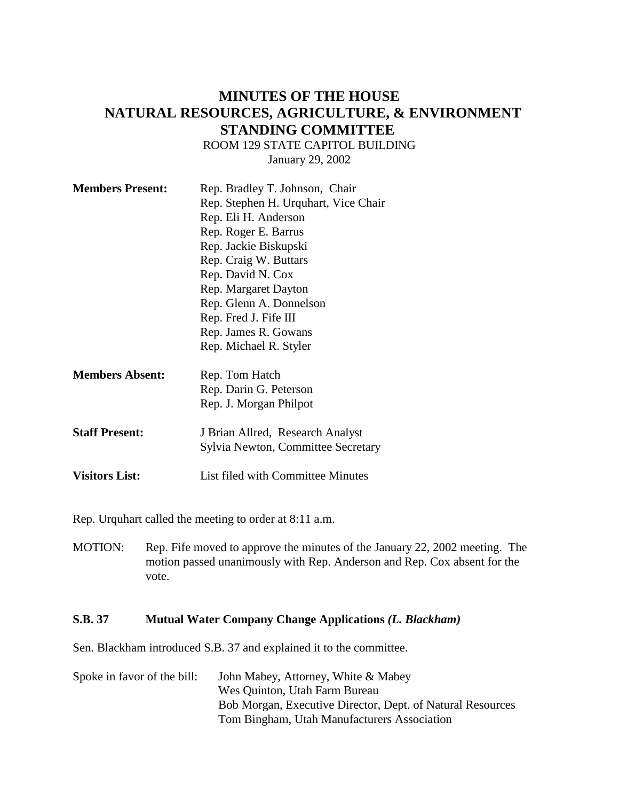# **MINUTES OF THE HOUSE NATURAL RESOURCES, AGRICULTURE, & ENVIRONMENT STANDING COMMITTEE**

ROOM 129 STATE CAPITOL BUILDING

January 29, 2002

| <b>Members Present:</b> | Rep. Bradley T. Johnson, Chair       |
|-------------------------|--------------------------------------|
|                         | Rep. Stephen H. Urquhart, Vice Chair |
|                         | Rep. Eli H. Anderson                 |
|                         | Rep. Roger E. Barrus                 |
|                         | Rep. Jackie Biskupski                |
|                         | Rep. Craig W. Buttars                |
|                         | Rep. David N. Cox                    |
|                         | Rep. Margaret Dayton                 |
|                         | Rep. Glenn A. Donnelson              |
|                         | Rep. Fred J. Fife III                |
|                         | Rep. James R. Gowans                 |
|                         | Rep. Michael R. Styler               |
| <b>Members Absent:</b>  | Rep. Tom Hatch                       |
|                         | Rep. Darin G. Peterson               |
|                         | Rep. J. Morgan Philpot               |
| <b>Staff Present:</b>   | J Brian Allred, Research Analyst     |

Sylvia Newton, Committee Secretary

**Visitors List:** List filed with Committee Minutes

Rep. Urquhart called the meeting to order at 8:11 a.m.

MOTION: Rep. Fife moved to approve the minutes of the January 22, 2002 meeting. The motion passed unanimously with Rep. Anderson and Rep. Cox absent for the vote.

## **S.B. 37 Mutual Water Company Change Applications** *(L. Blackham)*

Sen. Blackham introduced S.B. 37 and explained it to the committee.

Spoke in favor of the bill: John Mabey, Attorney, White & Mabey Wes Quinton, Utah Farm Bureau Bob Morgan, Executive Director, Dept. of Natural Resources Tom Bingham, Utah Manufacturers Association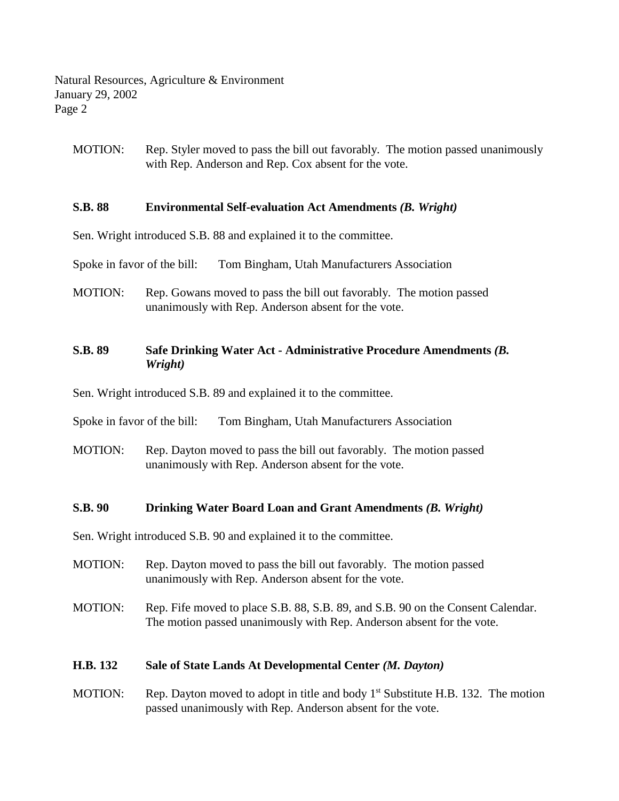Natural Resources, Agriculture & Environment January 29, 2002 Page 2

MOTION: Rep. Styler moved to pass the bill out favorably. The motion passed unanimously with Rep. Anderson and Rep. Cox absent for the vote.

#### **S.B. 88 Environmental Self-evaluation Act Amendments** *(B. Wright)*

Sen. Wright introduced S.B. 88 and explained it to the committee.

Spoke in favor of the bill: Tom Bingham, Utah Manufacturers Association

MOTION: Rep. Gowans moved to pass the bill out favorably. The motion passed unanimously with Rep. Anderson absent for the vote.

## **S.B. 89 Safe Drinking Water Act - Administrative Procedure Amendments** *(B. Wright)*

Sen. Wright introduced S.B. 89 and explained it to the committee.

Spoke in favor of the bill: Tom Bingham, Utah Manufacturers Association

MOTION: Rep. Dayton moved to pass the bill out favorably. The motion passed unanimously with Rep. Anderson absent for the vote.

#### **S.B. 90 Drinking Water Board Loan and Grant Amendments** *(B. Wright)*

Sen. Wright introduced S.B. 90 and explained it to the committee.

- MOTION: Rep. Dayton moved to pass the bill out favorably. The motion passed unanimously with Rep. Anderson absent for the vote.
- MOTION: Rep. Fife moved to place S.B. 88, S.B. 89, and S.B. 90 on the Consent Calendar. The motion passed unanimously with Rep. Anderson absent for the vote.

### **H.B. 132 Sale of State Lands At Developmental Center** *(M. Dayton)*

MOTION: Rep. Dayton moved to adopt in title and body  $1<sup>st</sup>$  Substitute H.B. 132. The motion passed unanimously with Rep. Anderson absent for the vote.